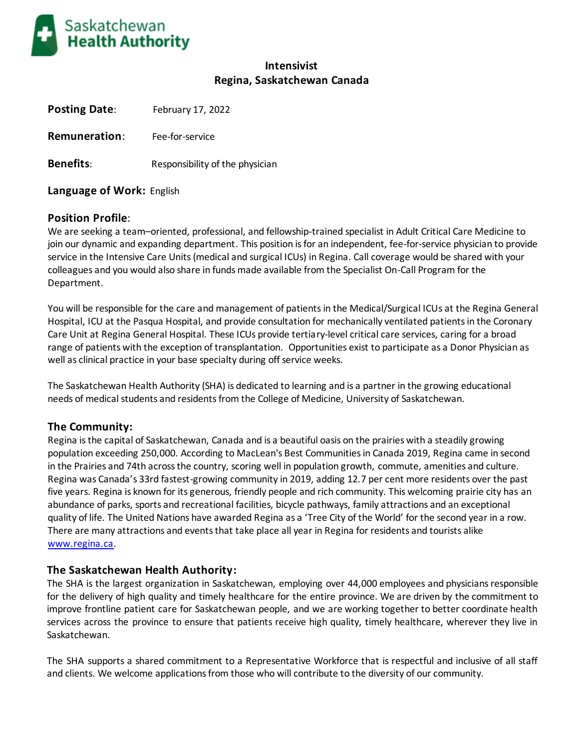

# **Intensivist Regina, Saskatchewan Canada**

| <b>Posting Date:</b> | February 17, 2022               |
|----------------------|---------------------------------|
| <b>Remuneration:</b> | Fee-for-service                 |
| <b>Benefits:</b>     | Responsibility of the physician |

**Language of Work:** English

## **Position Profile**:

We are seeking a team–oriented, professional, and fellowship-trained specialist in Adult Critical Care Medicine to join our dynamic and expanding department. This position is for an independent, fee-for-service physician to provide service in the Intensive Care Units (medical and surgical ICUs) in Regina. Call coverage would be shared with your colleagues and you would also share in funds made available from the Specialist On-Call Program for the Department.

You will be responsible for the care and management of patients in the Medical/Surgical ICUs at the Regina General Hospital, ICU at the Pasqua Hospital, and provide consultation for mechanically ventilated patients in the Coronary Care Unit at Regina General Hospital. These ICUs provide tertiary-level critical care services, caring for a broad range of patients with the exception of transplantation. Opportunities exist to participate as a Donor Physician as well as clinical practice in your base specialty during off service weeks.

The Saskatchewan Health Authority (SHA) is dedicated to learning and is a partner in the growing educational needs of medical students and residents from the College of Medicine, University of Saskatchewan.

## **The Community:**

Regina is the capital of Saskatchewan, Canada and is a beautiful oasis on the prairies with a steadily growing population exceeding 250,000. According to MacLean's Best Communities in Canada 2019, Regina came in second in the Prairies and 74th across the country, scoring well in population growth, commute, amenities and culture. Regina was Canada's 33rd fastest-growing community in 2019, adding 12.7 per cent more residents over the past five years. Regina is known for its generous, friendly people and rich community. This welcoming prairie city has an abundance of parks, sports and recreational facilities, bicycle pathways, family attractions and an exceptional quality of life. The United Nations have awarded Regina as a 'Tree City of the World' for the second year in a row. There are many attractions and events that take place all year in Regina for residents and tourists alike [www.regina.ca.](http://www.regina.ca/)

## **The Saskatchewan Health Authority:**

The SHA is the largest organization in Saskatchewan, employing over 44,000 employees and physicians responsible for the delivery of high quality and timely healthcare for the entire province. We are driven by the commitment to improve frontline patient care for Saskatchewan people, and we are working together to better coordinate health services across the province to ensure that patients receive high quality, timely healthcare, wherever they live in Saskatchewan.

The SHA supports a shared commitment to a Representative Workforce that is respectful and inclusive of all staff and clients. We welcome applications from those who will contribute to the diversity of our community.